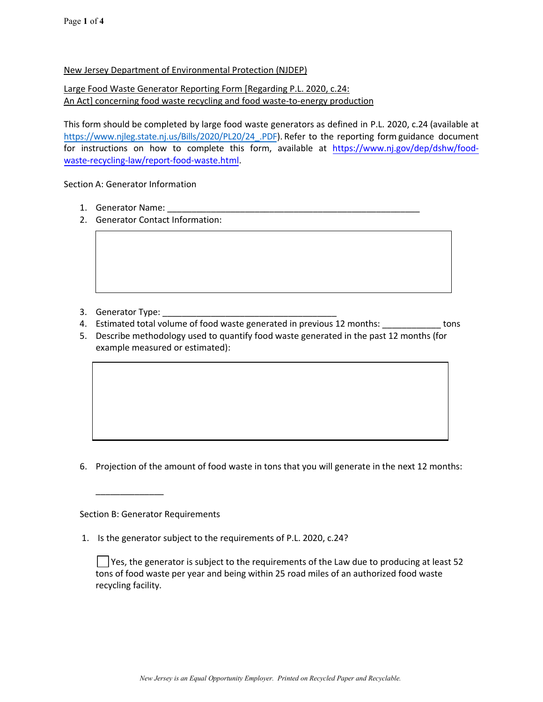## New Jersey Department of Environmental Protection (NJDEP)

## Large Food Waste Generator Reporting Form [Regarding P.L. 2020, c.24: An Act] concerning food waste recycling and food waste-to-energy production

This form should be completed by large food waste generators as defined in P.L. 2020, c.24 (available at [https://www.njleg.state.nj.us/Bills/2020/PL20/24\\_.PDF](https://www.njleg.state.nj.us/Bills/2020/PL20/24_.PDF)). Refer to the reporting form guidance document for instructions on how to complete this form, available at [https://www.nj.gov/dep/dshw/food](https://www.nj.gov/dep/dshw/food-waste-recycling-law/report-food-waste.html)[waste-recyc](https://www.nj.gov/dep/dshw/food-waste-recycling-law/report-food-waste.html)ling-law/report-food-waste.html.

Section A: Generator Information

- 1. Generator Name:
- 2. Generator Contact Information:

- 3. Generator Type:
- 4. Estimated total volume of food waste generated in previous 12 months: \_\_\_\_\_\_\_\_\_\_\_\_\_ tons
- 5. Describe methodology used to quantify food waste generated in the past 12 months (for example measured or estimated):

6. Projection of the amount of food waste in tons that you will generate in the next 12 months:

Section B: Generator Requirements

\_\_\_\_\_\_\_\_\_\_\_\_\_\_

1. Is the generator subject to the requirements of P.L. 2020, c.24?

 $\vert \ \vert$  Yes, the generator is subject to the requirements of the Law due to producing at least 52 tons of food waste per year and being within 25 road miles of an authorized food waste recycling facility.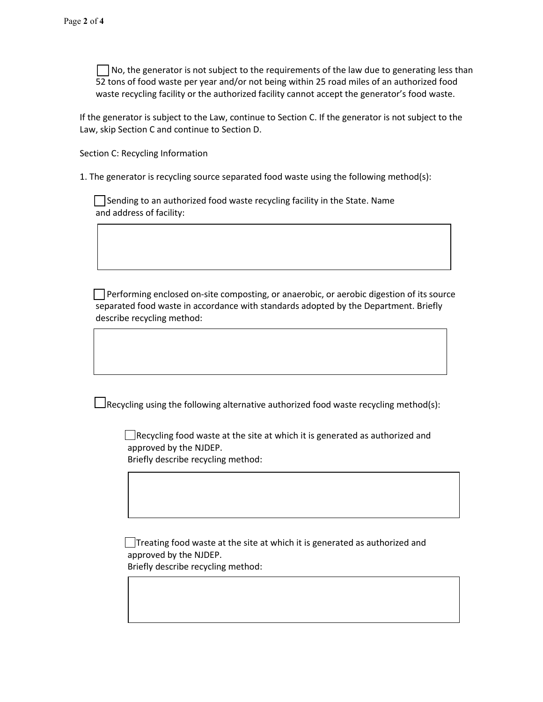$\Box$  No, the generator is not subject to the requirements of the law due to generating less than 52 tons of food waste per year and/or not being within 25 road miles of an authorized food waste recycling facility or the authorized facility cannot accept the generator's food waste.

If the generator is subject to the Law, continue to Section C. If the generator is not subject to the Law, skip Section C and continue to Section D.

Section C: Recycling Information

1. The generator is recycling source separated food waste using the following method(s):

Sending to an authorized food waste recycling facility in the State. Name and address of facility:

 $\Box$  Performing enclosed on-site composting, or anaerobic, or aerobic digestion of its source separated food waste in accordance with standards adopted by the Department. Briefly describe recycling method:

 $\Box$ Recycling using the following alternative authorized food waste recycling method(s):

 $\Box$  Recycling food waste at the site at which it is generated as authorized and approved by the NJDEP. Briefly describe recycling method:

 $\Box$ Treating food waste at the site at which it is generated as authorized and approved by the NJDEP. Briefly describe recycling method: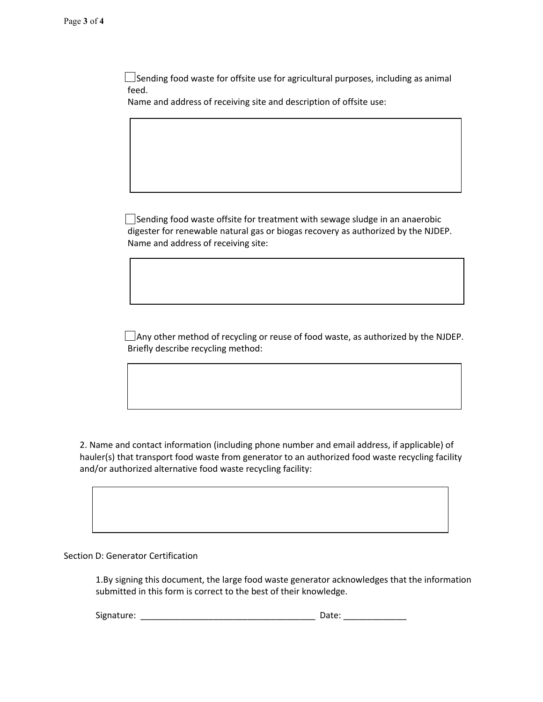$\Box$ Sending food waste for offsite use for agricultural purposes, including as animal feed.

Name and address of receiving site and description of offsite use:

 $\Box$  Sending food waste offsite for treatment with sewage sludge in an anaerobic digester for renewable natural gas or biogas recovery as authorized by the NJDEP. Name and address of receiving site:

 $\Box$  Any other method of recycling or reuse of food waste, as authorized by the NJDEP. Briefly describe recycling method:

2. Name and contact information (including phone number and email address, if applicable) of hauler(s) that transport food waste from generator to an authorized food waste recycling facility and/or authorized alternative food waste recycling facility:

Section D: Generator Certification

1.By signing this document, the large food waste generator acknowledges that the information submitted in this form is correct to the best of their knowledge.

Signature: \_\_\_\_\_\_\_\_\_\_\_\_\_\_\_\_\_\_\_\_\_\_\_\_\_\_\_\_\_\_\_\_\_\_\_\_ Date: \_\_\_\_\_\_\_\_\_\_\_\_\_